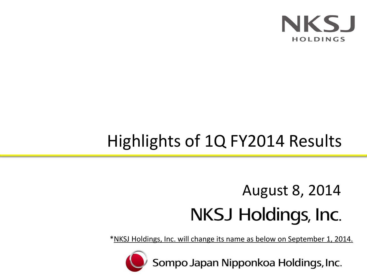

# Highlights of 1Q FY2014 Results

# August 8, 2014**NKSJ Holdings, Inc.**

\*NKSJ Holdings, Inc. will change its name as below on September 1, 2014.



Sompo Japan Nipponkoa Holdings, Inc.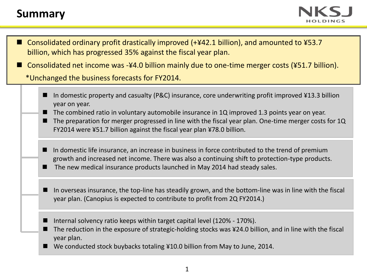# **Summary**



- Consolidated ordinary profit drastically improved (+¥42.1 billion), and amounted to ¥53.7 billion, which has progressed 35% against the fiscal year plan.
- Consolidated net income was -¥4.0 billion mainly due to one-time merger costs (¥51.7 billion).

\*Unchanged the business forecasts for FY2014.

- In domestic property and casualty (P&C) insurance, core underwriting profit improved ¥13.3 billion year on year.
- The combined ratio in voluntary automobile insurance in 1Q improved 1.3 points year on year.
- The preparation for merger progressed in line with the fiscal year plan. One-time merger costs for 1Q FY2014 were ¥51.7 billion against the fiscal year plan ¥78.0 billion.
- In domestic life insurance, an increase in business in force contributed to the trend of premium growth and increased net income. There was also a continuing shift to protection-type products.
- The new medical insurance products launched in May 2014 had steady sales.
- In overseas insurance, the top-line has steadily grown, and the bottom-line was in line with the fiscal year plan. (Canopius is expected to contribute to profit from 2Q FY2014.)
- Internal solvency ratio keeps within target capital level (120% 170%).
- The reduction in the exposure of strategic-holding stocks was ¥24.0 billion, and in line with the fiscal year plan.
- We conducted stock buybacks totaling ¥10.0 billion from May to June, 2014.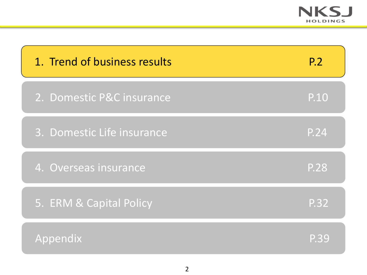

| 1. Trend of business results | <b>P.2</b>  |
|------------------------------|-------------|
| 2. Domestic P&C insurance    | P.10        |
| 3. Domestic Life insurance   | P.24        |
| 4. Overseas insurance        | <b>P.28</b> |
| 5. ERM & Capital Policy      | P.32        |
| Appendix                     | P.39        |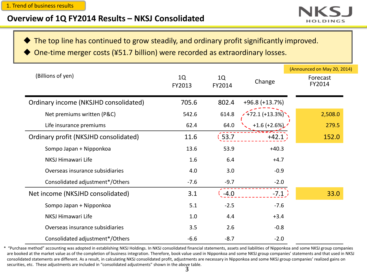

The top line has continued to grow steadily, and ordinary profit significantly improved.

One-time merger costs (¥51.7 billion) were recorded as extraordinary losses.

|                                       |              |              |                   | (Announced on May 20, 2014) |
|---------------------------------------|--------------|--------------|-------------------|-----------------------------|
| (Billions of yen)                     | 1Q<br>FY2013 | 1Q<br>FY2014 | Change            | Forecast<br>FY2014          |
| Ordinary income (NKSJHD consolidated) | 705.6        | 802.4        | $+96.8 (+13.7%)$  |                             |
| Net premiums written (P&C)            | 542.6        | 614.8        | $(11.1 + 13.3\%)$ | 2,508.0                     |
| Life insurance premiums               | 62.4         | 64.0         | $+1.6 (+2.6\%)$   | 279.5                       |
| Ordinary profit (NKSJHD consolidated) | 11.6         | 53.7         | $+42.1$           | 152.0                       |
| Sompo Japan + Nipponkoa               | 13.6         | 53.9         | $+40.3$           |                             |
| NKSJ Himawari Life                    | 1.6          | 6.4          | $+4.7$            |                             |
| Overseas insurance subsidiaries       | 4.0          | 3.0          | $-0.9$            |                             |
| Consolidated adjustment*/Others       | $-7.6$       | $-9.7$       | $-2.0$            |                             |
| Net income (NKSJHD consolidated)      | 3.1          | $-4.0$       | $-7.1$ )          | 33.0                        |
| Sompo Japan + Nipponkoa               | 5.1          | $-2.5$       | $-7.6$            |                             |
| NKSJ Himawari Life                    | 1.0          | 4.4          | $+3.4$            |                             |
| Overseas insurance subsidiaries       | 3.5          | 2.6          | $-0.8$            |                             |
| Consolidated adjustment*/Others       | $-6.6$       | $-8.7$       | $-2.0$            |                             |

\* "Purchase method" accounting was adopted in establishing NKSJ Holdings. In NKSJ consolidated financial statements, assets and liabilities of Nipponkoa and some NKSJ group companies are booked at the market value as of the completion of business integration. Therefore, book value used in Nipponkoa and some NKSJ group companies' statements and that used in NKSJ consolidated statements are different. As a result, in calculating NKSJ consolidated profit, adjustments are necessary in Nipponkoa and some NKSJ group companies' realized gains on securities, etc. These adjustments are included in "consolidated adjustments" shown in the above table.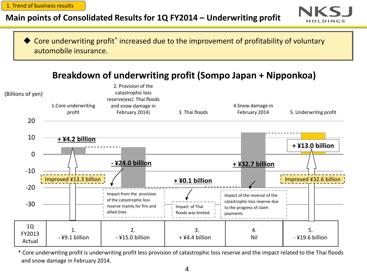1. Trend of business results

# **Main points of Consolidated Results for 1Q FY2014 – Underwriting profit**



◆ Core underwriting profit<sup>\*</sup> increased due to the improvement of profitability of voluntary automobile insurance.

**Breakdown of underwriting profit (Sompo Japan + Nipponkoa)**



\* Core underwriting profit is underwriting profit less provision of catastrophic loss reserve and the impact related to the Thai floods and snow damage in February 2014.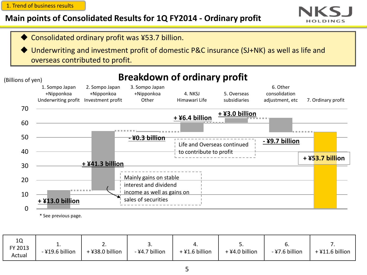1. Trend of business results

# **Main points of Consolidated Results for 1Q FY2014 - Ordinary profit**





 Underwriting and investment profit of domestic P&C insurance (SJ+NK) as well as life and overseas contributed to profit.

#### $\Omega$ 10 20 30 40 50 60 70 1. Sompo Japan +Nipponkoa Underwriting profit Investment profit 2. Sompo Japan +Nipponkoa 3. Sompo Japan +Nipponkoa **Other** 4. NKSJ Himawari Life 5. Overseas subsidiaries 6. Other consolidation adjustment, etc 7. Ordinary profit **- ¥0.3 billion + ¥6.4 billion + ¥3.0 billion - ¥9.7 billion + ¥53.7 billion** (Billions of yen) **+ ¥13.0 billion + ¥41.3 billion** Mainly gains on stable interest and dividend income as well as gains on sales of securities **Breakdown of ordinary profit** Life and Overseas continued to contribute to profit

\* See previous page.

| 10<br>FY 2013<br>Actual | <u>. .</u><br>-¥19.6 billion | <u>.</u><br>+¥38.0 billion | <u>.</u><br>-¥4.7 billion | 4<br>$+$ ¥1.6 billion | <u>.</u><br>+ ¥4.0 billion | υ.<br>-¥7.6 billion | +¥11.6 billion |
|-------------------------|------------------------------|----------------------------|---------------------------|-----------------------|----------------------------|---------------------|----------------|
|-------------------------|------------------------------|----------------------------|---------------------------|-----------------------|----------------------------|---------------------|----------------|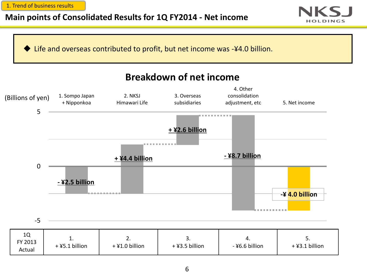1. Trend of business results

# **Main points of Consolidated Results for 1Q FY2014 - Net income**



Life and overseas contributed to profit, but net income was -¥4.0 billion.

# **Breakdown of net income**

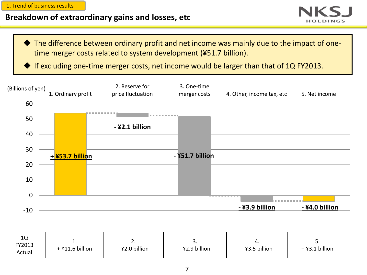1. Trend of business results

# **Breakdown of extraordinary gains and losses, etc**



 The difference between ordinary profit and net income was mainly due to the impact of onetime merger costs related to system development (¥51.7 billion).

If excluding one-time merger costs, net income would be larger than that of 1Q FY2013.



| 1Q<br>FY2013<br>Actual | . .<br>+¥11.6 billion | <u>.</u><br>-¥2.0 billion | J.<br>-¥2.9 billion | -¥3.5 billion | <u>.</u><br>$+$ ¥3.1 billion |
|------------------------|-----------------------|---------------------------|---------------------|---------------|------------------------------|
|------------------------|-----------------------|---------------------------|---------------------|---------------|------------------------------|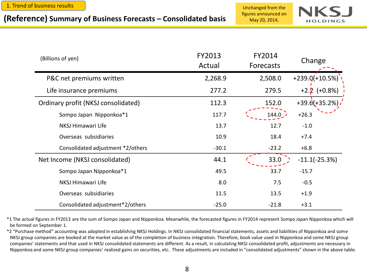# figures announced on **(Reference) Summary of Business Forecasts – Consolidated basis** May 20, 2014.

Unchanged from the



| (Billions of yen)                   | FY2013<br>Actual | FY2014<br><b>Forecasts</b> | Change            |
|-------------------------------------|------------------|----------------------------|-------------------|
| P&C net premiums written            | 2,268.9          | 2,508.0                    | $+239.0(+10.5%)$  |
| Life insurance premiums             | 277.2            | 279.5                      | $(+0.8%)$         |
| Ordinary profit (NKSJ consolidated) | 112.3            | 152.0                      | $+39.6(+35.2%)$ . |
| Sompo Japan Nipponkoa*1             | 117.7            | 144.0                      | $+26.3$           |
| NKSJ Himawari Life                  | 13.7             | 12.7                       | $-1.0$            |
| Overseas subsidiaries               | 10.9             | 18.4                       | $+7.4$            |
| Consolidated adjustment *2/others   | $-30.1$          | $-23.2$                    | $+6.8$            |
| Net Income (NKSJ consolidated)      | 44.1             | 33.0                       | $-11.1(-25.3%)$   |
| Sompo Japan Nipponkoa*1             | 49.5             | 33.7                       | $-15.7$           |
| NKSJ Himawari Life                  | 8.0              | 7.5                        | $-0.5$            |
| Overseas subsidiaries               | 11.5             | 13.5                       | $+1.9$            |
| Consolidated adjustment*2/others    | $-25.0$          | $-21.8$                    | $+3.1$            |

\*1 The actual figures in FY2013 are the sum of Sompo Japan and Nipponkoa. Meanwhile, the forecasted figures in FY2014 represent Sompo Japan Nipponkoa which will be formed on September 1.

\*2 "Purchase method" accounting was adopted in establishing NKSJ Holdings. In NKSJ consolidated financial statements, assets and liabilities of Nipponkoa and some NKSJ group companies are booked at the market value as of the completion of business integration. Therefore, book value used in Nipponkoa and some NKSJ group companies' statements and that used in NKSJ consolidated statements are different. As a result, in calculating NKSJ consolidated profit, adjustments are necessary in Nipponkoa and some NKSJ group companies' realized gains on securities, etc. These adjustments are included in "consolidated adjustments" shown in the above table.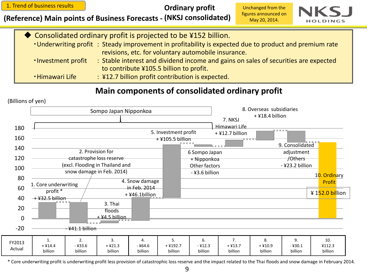1. Trend of business results

**Ordinary profit** 

**(Reference) Main points of Business Forecasts - (NKSJ consolidated)**

Unchanged from the figures announced on May 20, 2014.



|                      | ◆ Consolidated ordinary profit is projected to be ¥152 billion.                                        |
|----------------------|--------------------------------------------------------------------------------------------------------|
|                      | . Underwriting profit: Steady improvement in profitability is expected due to product and premium rate |
|                      | revisions, etc. for voluntary automobile insurance.                                                    |
| . Investment profit  | : Stable interest and dividend income and gains on sales of securities are expected                    |
|                      | to contribute ¥105.5 billion to profit.                                                                |
| <b>Himawari Life</b> | : ¥12.7 billion profit contribution is expected.                                                       |
|                      |                                                                                                        |

## **Main components of consolidated ordinary profit**





\* Core underwriting profit is underwriting profit less provision of catastrophic loss reserve and the impact related to the Thai floods and snow damage in February 2014.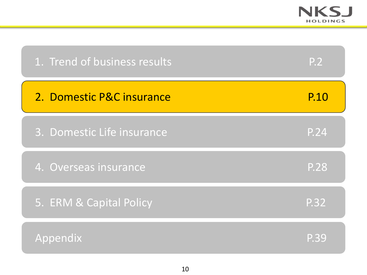

| 1. Trend of business results | P.2               |
|------------------------------|-------------------|
| 2. Domestic P&C insurance    | P.10              |
| 3. Domestic Life insurance   | P.24              |
| 4. Overseas insurance        | <b>P.28</b>       |
| 5. ERM & Capital Policy      | $\overline{P.32}$ |
| Appendix                     | P.39              |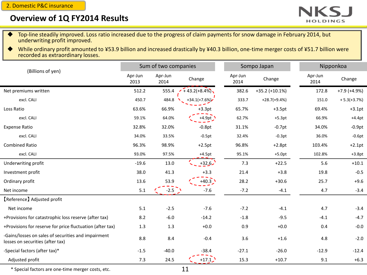2. Domestic P&C insurance

### **Overview of 1Q FY2014 Results**



- Top-line steadily improved. Loss ratio increased due to the progress of claim payments for snow damage in February 2014, but underwriting profit improved.
- While ordinary profit amounted to ¥53.9 billion and increased drastically by ¥40.3 billion, one-time merger costs of ¥51.7 billion were recorded as extraordinary losses.

|                                                                                         |                 | Sum of two companies |                 |                 | Sompo Japan           | Nipponkoa       |               |  |
|-----------------------------------------------------------------------------------------|-----------------|----------------------|-----------------|-----------------|-----------------------|-----------------|---------------|--|
| (Billions of yen)                                                                       | Apr-Jun<br>2013 | Apr-Jun<br>2014      | Change          | Apr-Jun<br>2014 | Change                | Apr-Jun<br>2014 | Change        |  |
| Net premiums written                                                                    | 512.2           | 555.4                | $+43.2(+8.4\%)$ | 382.6           | $+35.2$ ( $+10.1\%$ ) | 172.8           | $+7.9 +4.9%$  |  |
| excl. CALI                                                                              | 450.7           | 484.8                | $+34.1(+7.6%)$  | 333.7           | $+28.7(+9.4%)$        | 151.0           | $+5.3(+3.7%)$ |  |
| Loss Ratio                                                                              | 63.6%           | 66.9%                | $+3.3pt$        | 65.7%           | $+3.5pt$              | 69.4%           | $+3.1pt$      |  |
| excl. CALI                                                                              | 59.1%           | 64.0%                | $+4.9pt$        | 62.7%           | $+5.3pt$              | 66.9%           | $+4.4pt$      |  |
| <b>Expense Ratio</b>                                                                    | 32.8%           | 32.0%                | $-0.8pt$        | 31.1%           | $-0.7pt$              | 34.0%           | $-0.9pt$      |  |
| excl. CALI                                                                              | 34.0%           | 33.5%                | $-0.5pt$        | 32.4%           | $-0.3pt$              | 36.0%           | $-0.6pt$      |  |
| <b>Combined Ratio</b>                                                                   | 96.3%           | 98.9%                | $+2.5pt$        | 96.8%           | $+2.8pt$              | 103.4%          | $+2.1pt$      |  |
| excl. CALI                                                                              | 93.0%           | 97.5%                | $+4.5pt$        | 95.1%           | $+5.0pt$              | 102.8%          | $+3.8pt$      |  |
| Underwriting profit                                                                     | $-19.6$         | 13.0                 | $+32.6$         | 7.3             | $+22.5$               | 5.6             | $+10.1$       |  |
| Investment profit                                                                       | 38.0            | 41.3                 | $+3.3$          | 21.4            | $+3.8$                | 19.8            | $-0.5$        |  |
| Ordinary profit                                                                         | 13.6            | 53.9                 | $+40.3$ $\sum$  | 28.2            | $+30.6$               | 25.7            | $+9.6$        |  |
| Net income                                                                              | 5.1             | $-2.5$ $\bigcup$     | $-7.6$          | $-7.2$          | $-4.1$                | 4.7             | $-3.4$        |  |
| [Reference] Adjusted profit                                                             |                 |                      |                 |                 |                       |                 |               |  |
| Net income                                                                              | 5.1             | $-2.5$               | $-7.6$          | $-7.2$          | $-4.1$                | 4.7             | $-3.4$        |  |
| +Provisions for catastrophic loss reserve (after tax)                                   | 8.2             | $-6.0$               | $-14.2$         | $-1.8$          | $-9.5$                | $-4.1$          | $-4.7$        |  |
| +Provisions for reserve for price fluctuation (after tax)                               | 1.3             | 1.3                  | $+0.0$          | 0.9             | $+0.0$                | 0.4             | $-0.0$        |  |
| -Gains/losses on sales of securities and impairment<br>losses on securities (after tax) | 8.8             | 8.4                  | $-0.4$          | 3.6             | $+1.6$                | 4.8             | $-2.0$        |  |
| -Special factors (after tax)*                                                           | $-1.5$          | $-40.0$              | $-38.4$         | $-27.1$         | $-26.0$               | $-12.9$         | $-12.4$       |  |
| Adjusted profit                                                                         | 7.3             | 24.5                 | $+17.1$         | 15.3            | $+10.7$               | 9.1             | $+6.3$        |  |

\* Special factors are one-time merger costs, etc.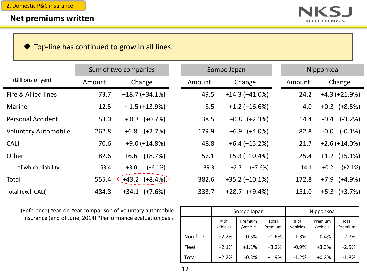

◆ Top-line has continued to grow in all lines.

|                             |        | Sum of two companies |        | Sompo Japan        |        | Nipponkoa            |  |  |  |
|-----------------------------|--------|----------------------|--------|--------------------|--------|----------------------|--|--|--|
| (Billions of yen)           | Amount | Change               | Amount | Change             | Amount | Change               |  |  |  |
| Fire & Allied lines         | 73.7   | $+18.7 (+34.1\%)$    | 49.5   | $+14.3 (+41.0%)$   | 24.2   | $+4.3 (+21.9%)$      |  |  |  |
| <b>Marine</b>               | 12.5   | $+1.5 (+13.9%)$      | 8.5    | $+1.2$ (+16.6%)    | 4.0    | $+0.3$ $(+8.5%)$     |  |  |  |
| <b>Personal Accident</b>    | 53.0   | $+0.3$ $(+0.7%)$     | 38.5   | $+0.8$ $(+2.3%)$   | 14.4   | $-0.4$ $(-3.2%)$     |  |  |  |
| <b>Voluntary Automobile</b> | 262.8  | $(+2.7%)$<br>$+6.8$  | 179.9  | $+6.9$ $(+4.0\%)$  | 82.8   | $-0.0$ $(-0.1\%)$    |  |  |  |
| <b>CALI</b>                 | 70.6   | $+9.0 (+14.8%)$      | 48.8   | $+6.4 (+15.2%)$    | 21.7   | $+2.6 (+14.0\%)$     |  |  |  |
| Other                       | 82.6   | $(+8.7%)$<br>$+6.6$  | 57.1   | $+5.3$ (+10.4%)    | 25.4   | $+1.2$ $(+5.1\%)$    |  |  |  |
| of which, liability         | 53.4   | $(+6.1%)$<br>$+3.0$  | 39.3   | $+2.7$ $(+7.6%)$   | 14.1   | $+0.2$<br>$(+2.1\%)$ |  |  |  |
| Total                       | 555.4  | $+43.2$ $(+8.4\%)$   | 382.6  | $+35.2 (+10.1%)$   | 172.8  | $+7.9$ $(+4.9%)$     |  |  |  |
| Total (excl. CALI)          | 484.8  | $+34.1$ $(+7.6%)$    | 333.7  | $+28.7$ $(+9.4\%)$ | 151.0  | $+5.3$ $(+3.7%)$     |  |  |  |

(Reference) Year-on-Year comparison of voluntary automobile insurance (end of June, 2014) \*Performance evaluation basis

|           |                  | Sompo Japan         |                  | Nipponkoa        |                     |                  |  |
|-----------|------------------|---------------------|------------------|------------------|---------------------|------------------|--|
|           | # of<br>vehicles | Premium<br>/vehicle | Total<br>Premium | # of<br>vehicles | Premium<br>/vehicle | Total<br>Premium |  |
| Non-fleet | $+2.2%$          | $-0.5%$<br>$+1.6%$  |                  | $-1.3%$          | $-0.4%$             | $-2.7%$          |  |
| Fleet     | $+2.1%$          | $+1.1%$             | $+3.2%$          | $-0.9%$          | $+3.3%$             | $+2.5%$          |  |
| Total     | $+2.2%$          | $-0.3%$             | $+1.9%$          | $-1.2%$          | $+0.2%$             | $-1.8%$          |  |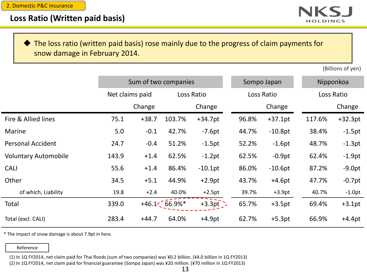

#### The loss ratio (written paid basis) rose mainly due to the progress of claim payments for snow damage in February 2014.

(Billions of yen)

|                             |                 | Sum of two companies |            |            |       | Sompo Japan | Nipponkoa |            |  |
|-----------------------------|-----------------|----------------------|------------|------------|-------|-------------|-----------|------------|--|
|                             | Net claims paid |                      | Loss Ratio |            |       | Loss Ratio  |           | Loss Ratio |  |
|                             |                 | Change               |            | Change     |       | Change      |           | Change     |  |
| Fire & Allied lines         | 75.1            | $+38.7$              | 103.7%     | $+34.7pt$  | 96.8% | $+37.1pt$   | 117.6%    | $+32.3pt$  |  |
| Marine                      | 5.0             | $-0.1$               | 42.7%      | $-7.6pt$   | 44.7% | $-10.8pt$   | 38.4%     | $-1.5pt$   |  |
| <b>Personal Accident</b>    | 24.7            | $-0.4$               | 51.2%      | $-1.5$ pt  | 52.2% | $-1.6pt$    | 48.7%     | $-1.3pt$   |  |
| <b>Voluntary Automobile</b> | 143.9           | $+1.4$               | 62.5%      | $-1.2pt$   | 62.5% | $-0.9pt$    | 62.4%     | $-1.9pt$   |  |
| <b>CALI</b>                 | 55.6            | $+1.4$               | 86.4%      | $-10.1$ pt | 86.0% | $-10.6pt$   | 87.2%     | $-9.0pt$   |  |
| Other                       | 34.5            | $+5.1$               | 44.9%      | $+2.9pt$   | 43.7% | $+4.6pt$    | 47.7%     | $-0.7pt$   |  |
| of which, Liability         | 19.8            | $+2.4$               | 40.0%      | $+2.5pt$   | 39.7% | $+3.9pt$    | 40.7%     | $-1.0pt$   |  |
| Total                       | 339.0           | $+46.1$              | 66.9%*     | $+3.3pt$   | 65.7% | $+3.5pt$    | 69.4%     | $+3.1pt$   |  |
| Total (excl. CALI)          | 283.4           | $+44.7$              | 64.0%      | $+4.9pt$   | 62.7% | $+5.3pt$    | 66.9%     | $+4.4pt$   |  |

\* The impact of snow damage is about 7.9pt in here.

#### Reference

(1) In 1Q FY2014, net claim paid for Thai floods (sum of two companies) was ¥0.2 billion. (¥4.0 billion in 1Q FY2013)

(2) In 1Q FY2014, net claim paid for financial guarantee (Sompo Japan) was ¥20 million. (¥70 million in 1Q FY2013)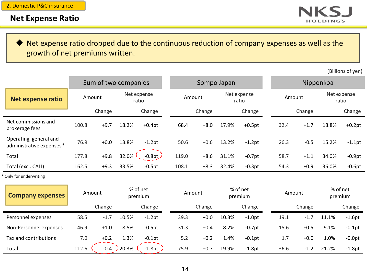

 Net expense ratio dropped due to the continuous reduction of company expenses as well as the growth of net premiums written.

(Billions of yen)

|                                                    | Sum of two companies |        |       |                      |       | Sompo Japan |       |                      |      | Nipponkoa |       |                      |  |
|----------------------------------------------------|----------------------|--------|-------|----------------------|-------|-------------|-------|----------------------|------|-----------|-------|----------------------|--|
| Net expense ratio                                  | Amount               |        |       | Net expense<br>ratio |       | Amount      |       | Net expense<br>ratio |      | Amount    |       | Net expense<br>ratio |  |
|                                                    |                      | Change |       | Change               |       | Change      |       | Change               |      | Change    |       | Change               |  |
| Net commissions and<br>brokerage fees              | 100.8                | $+9.7$ | 18.2% | $+0.4pt$             | 68.4  | $+8.0$      | 17.9% | $+0.5$ pt            | 32.4 | $+1.7$    | 18.8% | $+0.2pt$             |  |
| Operating, general and<br>administrative expenses* | 76.9                 | $+0.0$ | 13.8% | $-1.2pt$             | 50.6  | $+0.6$      | 13.2% | $-1.2$ pt            | 26.3 | $-0.5$    | 15.2% | $-1.1$ pt            |  |
| Total                                              | 177.8                | $+9.8$ | 32.0% | $-0.8pt$             | 119.0 | $+8.6$      | 31.1% | $-0.7$ pt            | 58.7 | $+1.1$    | 34.0% | $-0.9$ pt            |  |
| Total (excl. CALI)                                 | 162.5                | $+9.3$ | 33.5% | $-0.5pt$             | 108.1 | $+8.3$      | 32.4% | $-0.3pt$             | 54.3 | $+0.9$    | 36.0% | $-0.6pt$             |  |
| * Only for underwriting                            |                      |        |       |                      |       |             |       |                      |      |           |       |                      |  |

| <b>Company expenses</b> |       | Amount |       | % of net<br>premium |      | Amount |       | % of net<br>premium |      | Amount |       | % of net<br>premium |
|-------------------------|-------|--------|-------|---------------------|------|--------|-------|---------------------|------|--------|-------|---------------------|
|                         |       | Change |       | Change              |      | Change |       | Change              |      | Change |       | Change              |
| Personnel expenses      | 58.5  | $-1.7$ | 10.5% | $-1.2$ pt           | 39.3 | $+0.0$ | 10.3% | $-1.0pt$            | 19.1 | $-1.7$ | 11.1% | $-1.6pt$            |
| Non-Personnel expenses  | 46.9  | $+1.0$ | 8.5%  | $-0.5$ pt           | 31.3 | $+0.4$ | 8.2%  | $-0.7$ pt           | 15.6 | $+0.5$ | 9.1%  | $-0.1$ pt           |
| Tax and contributions   | 7.0   | $+0.2$ | 1.3%  | $-0.1$ pt           | 5.2  | $+0.2$ | 1.4%  | $-0.1$ pt           | 1.7  | $+0.0$ | 1.0%  | $-0.0pt$            |
| Total                   | 112.6 | $-0.4$ | 20.3% | $-1.8pt$ .          | 75.9 | $+0.7$ | 19.9% | $-1.8$ pt           | 36.6 | $-1.2$ | 21.2% | $-1.8$ pt           |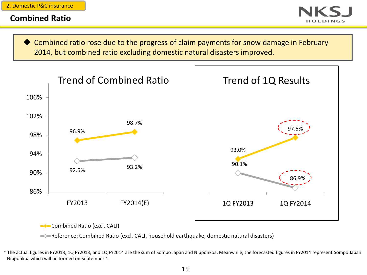#### **Combined Ratio**

 Combined ratio rose due to the progress of claim payments for snow damage in February 2014, but combined ratio excluding domestic natural disasters improved.



**Combined Ratio (excl. CALI)** 

Reference; Combined Ratio (excl. CALI, household earthquake, domestic natural disasters)

\* The actual figures in FY2013, 1Q FY2013, and 1Q FY2014 are the sum of Sompo Japan and Nipponkoa. Meanwhile, the forecasted figures in FY2014 represent Sompo Japan Nipponkoa which will be formed on September 1.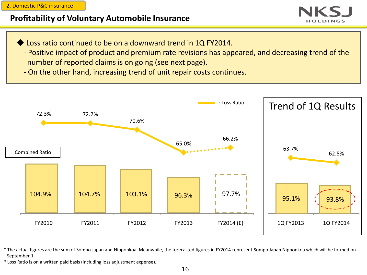2. Domestic P&C insurance

## **Profitability of Voluntary Automobile Insurance**

- Loss ratio continued to be on a downward trend in 1Q FY2014.
- Positive impact of product and premium rate revisions has appeared, and decreasing trend of the number of reported claims is on going (see next page).
- On the other hand, increasing trend of unit repair costs continues.



\* The actual figures are the sum of Sompo Japan and Nipponkoa. Meanwhile, the forecasted figures in FY2014 represent Sompo Japan Nipponkoa which will be formed on September 1.

\* Loss Ratio is on a written paid basis (including loss adjustment expense).

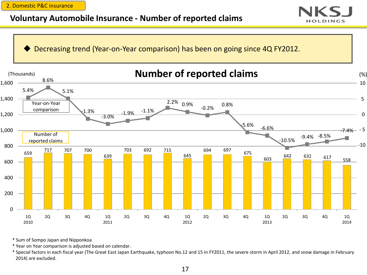2. Domestic P&C insurance

# **Voluntary Automobile Insurance - Number of reported claims**





\* Sum of Sompo Japan and Nipponkoa

\* Year on Year comparison is adjusted based on calendar.

\* Special factors in each fiscal year (The Great East Japan Earthquake, typhoon No.12 and 15 in FY2011, the severe storm in April 2012, and snow damage in February 2014) are excluded.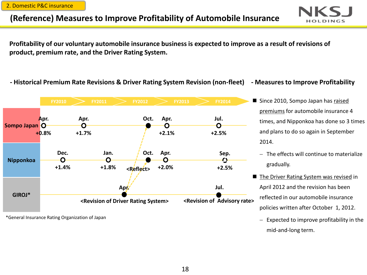2. Domestic P&C insurance

# **(Reference) Measures to Improve Profitability of Automobile Insurance**



**Profitability of our voluntary automobile insurance business is expected to improve as a result of revisions of product, premium rate, and the Driver Rating System.**

#### **- Historical Premium Rate Revisions & Driver Rating System Revision (non-fleet) - Measures to Improve Profitability**



\*General Insurance Rating Organization of Japan

- 
- Since 2010, Sompo Japan has raised premiums for automobile insurance 4 times, and Nipponkoa has done so 3 times and plans to do so again in September 2014.
	- $-$  The effects will continue to materialize gradually.
- The Driver Rating System was revised in April 2012 and the revision has been reflected in our automobile insurance policies written after October 1, 2012.
	- $-$  Expected to improve profitability in the mid-and-long term.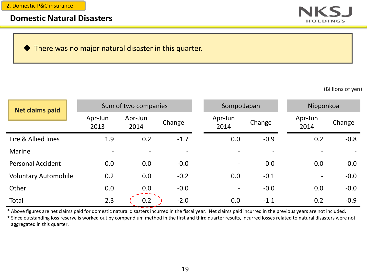#### **Domestic Natural Disasters**



There was no major natural disaster in this quarter.

(Billions of yen)

| <b>Net claims paid</b>      |                          | Sum of two companies     |        | Sompo Japan              |                          | Nipponkoa                |        |
|-----------------------------|--------------------------|--------------------------|--------|--------------------------|--------------------------|--------------------------|--------|
|                             | Apr-Jun<br>2013          | Apr-Jun<br>2014          | Change | Apr-Jun<br>2014          | Change                   | Apr-Jun<br>2014          | Change |
| Fire & Allied lines         | 1.9                      | 0.2                      | $-1.7$ | 0.0                      | $-0.9$                   | 0.2                      | $-0.8$ |
| Marine                      | $\overline{\phantom{a}}$ | $\overline{\phantom{a}}$ |        |                          | $\overline{\phantom{a}}$ |                          |        |
| <b>Personal Accident</b>    | 0.0                      | 0.0                      | $-0.0$ | $\overline{\phantom{a}}$ | $-0.0$                   | 0.0                      | $-0.0$ |
| <b>Voluntary Automobile</b> | 0.2                      | 0.0                      | $-0.2$ | 0.0                      | $-0.1$                   | $\overline{\phantom{a}}$ | $-0.0$ |
| Other                       | 0.0                      | 0.0                      | $-0.0$ | $\qquad \qquad -$        | $-0.0$                   | 0.0                      | $-0.0$ |
| Total                       | 2.3                      | 0.2                      | $-2.0$ | 0.0                      | $-1.1$                   | 0.2                      | $-0.9$ |

\* Above figures are net claims paid for domestic natural disasters incurred in the fiscal year. Net claims paid incurred in the previous years are not included.

\* Since outstanding loss reserve is worked out by compendium method in the first and third quarter results, incurred losses related to natural disasters were not aggregated in this quarter.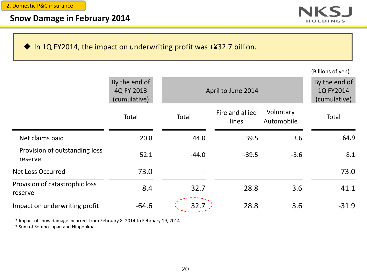

In 1Q FY2014, the impact on underwriting profit was  $+432.7$  billion.

|  | (Billions of yen) |  |  |
|--|-------------------|--|--|
|--|-------------------|--|--|

|                                           | By the end of<br>4Q FY 2013<br>(cumulative) | April to June 2014 | By the end of<br>1Q FY2014<br>(cumulative) |                         |         |
|-------------------------------------------|---------------------------------------------|--------------------|--------------------------------------------|-------------------------|---------|
|                                           | Total                                       | Total              | Fire and allied<br>lines                   | Voluntary<br>Automobile | Total   |
| Net claims paid                           | 20.8                                        | 44.0               | 39.5                                       | 3.6                     | 64.9    |
| Provision of outstanding loss<br>reserve  | 52.1                                        | $-44.0$            | $-39.5$                                    | $-3.6$                  | 8.1     |
| <b>Net Loss Occurred</b>                  | 73.0                                        |                    |                                            |                         | 73.0    |
| Provision of catastrophic loss<br>reserve | 8.4                                         | 32.7               | 28.8                                       | 3.6                     | 41.1    |
| Impact on underwriting profit             | $-64.6$                                     | 32.7               | 28.8                                       | 3.6                     | $-31.9$ |

\* Impact of snow damage incurred from February 8, 2014 to February 19, 2014

\* Sum of Sompo Japan and Nipponkoa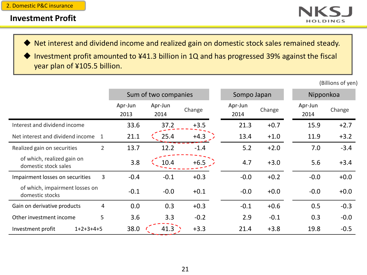

Net interest and dividend income and realized gain on domestic stock sales remained steady.

◆ Investment profit amounted to ¥41.3 billion in 1Q and has progressed 39% against the fiscal year plan of ¥105.5 billion.

(Billions of yen)

|                                                    | Sum of two companies |                 |        | Sompo Japan     |        | Nipponkoa       |        |
|----------------------------------------------------|----------------------|-----------------|--------|-----------------|--------|-----------------|--------|
|                                                    | Apr-Jun<br>2013      | Apr-Jun<br>2014 | Change | Apr-Jun<br>2014 | Change | Apr-Jun<br>2014 | Change |
| Interest and dividend income                       | 33.6                 | 37.2            | $+3.5$ | 21.3            | $+0.7$ | 15.9            | $+2.7$ |
| Net interest and dividend income<br>1              | 21.1                 | 25.4            | $+4.3$ | 13.4            | $+1.0$ | 11.9            | $+3.2$ |
| $\overline{2}$<br>Realized gain on securities      | 13.7                 | 12.2            | $-1.4$ | 5.2             | $+2.0$ | 7.0             | $-3.4$ |
| of which, realized gain on<br>domestic stock sales | 3.8                  | 10.4            | $+6.5$ | 4.7             | $+3.0$ | 5.6             | $+3.4$ |
| 3<br>Impairment losses on securities               | $-0.4$               | $-0.1$          | $+0.3$ | $-0.0$          | $+0.2$ | $-0.0$          | $+0.0$ |
| of which, impairment losses on<br>domestic stocks  | $-0.1$               | $-0.0$          | $+0.1$ | $-0.0$          | $+0.0$ | $-0.0$          | $+0.0$ |
| 4<br>Gain on derivative products                   | 0.0                  | 0.3             | $+0.3$ | $-0.1$          | $+0.6$ | 0.5             | $-0.3$ |
| 5<br>Other investment income                       | 3.6                  | 3.3             | $-0.2$ | 2.9             | $-0.1$ | 0.3             | $-0.0$ |
| $1+2+3+4+5$<br>Investment profit                   | 38.0                 | 41.3            | $+3.3$ | 21.4            | $+3.8$ | 19.8            | $-0.5$ |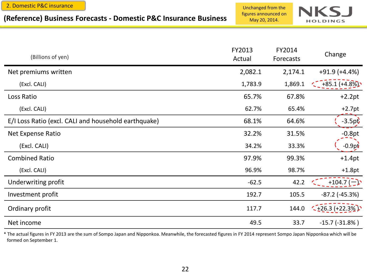#### **(Reference) Business Forecasts - Domestic P&C Insurance Business**

Unchanged from the figures announced on May 20, 2014.



| (Billions of yen)                                    | FY2013<br>Actual | FY2014<br>Forecasts | Change                    |
|------------------------------------------------------|------------------|---------------------|---------------------------|
| Net premiums written                                 | 2,082.1          | 2,174.1             | $+91.9(+4.4%)$            |
| (Excl. CALI)                                         | 1,783.9          | 1,869.1             | $+85.1 (+4.8\%)$          |
| Loss Ratio                                           | 65.7%            | 67.8%               | $+2.2pt$                  |
| (Excl. CALI)                                         | 62.7%            | 65.4%               | $+2.7pt$                  |
| E/I Loss Ratio (excl. CALI and household earthquake) | 68.1%            | 64.6%               | $-3.5$ pt                 |
| Net Expense Ratio                                    | 32.2%            | 31.5%               | $-0.8pt$                  |
| (Excl. CALI)                                         | 34.2%            | 33.3%               | $-0.9p\dot{v}$            |
| <b>Combined Ratio</b>                                | 97.9%            | 99.3%               | $+1.4$ pt                 |
| (Excl. CALI)                                         | 96.9%            | 98.7%               | $+1.8pt$                  |
| Underwriting profit                                  | $-62.5$          | 42.2                | $+104.7$ ( $-$ )          |
| Investment profit                                    | 192.7            | 105.5               | $-87.2$ ( $-45.3%$ )      |
| Ordinary profit                                      | 117.7            | 144.0               | $\frac{1}{26.3}$ (+22.3%) |
| Net income                                           | 49.5             | 33.7                | $-15.7$ $(-31.8\%)$       |

\* The actual figures in FY 2013 are the sum of Sompo Japan and Nipponkoa. Meanwhile, the forecasted figures in FY 2014 represent Sompo Japan Nipponkoa which will be formed on September 1.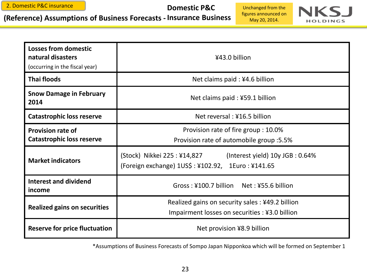**(Reference) Assumptions of Business Forecasts - Insurance Business**

#### **Domestic P&C**

Unchanged from the figures announced on May 20, 2014.



| <b>Losses from domestic</b><br>natural disasters<br>(occurring in the fiscal year) | ¥43.0 billion                                                                                                         |  |  |  |  |
|------------------------------------------------------------------------------------|-----------------------------------------------------------------------------------------------------------------------|--|--|--|--|
| <b>Thai floods</b>                                                                 | Net claims paid: ¥4.6 billion                                                                                         |  |  |  |  |
| <b>Snow Damage in February</b><br>2014                                             | Net claims paid: ¥59.1 billion                                                                                        |  |  |  |  |
| <b>Catastrophic loss reserve</b>                                                   | Net reversal: ¥16.5 billion                                                                                           |  |  |  |  |
| <b>Provision rate of</b><br><b>Catastrophic loss reserve</b>                       | Provision rate of fire group : 10.0%<br>Provision rate of automobile group :5.5%                                      |  |  |  |  |
| <b>Market indicators</b>                                                           | (Stock) Nikkei 225 : ¥14,827<br>(Interest yield) 10y JGB : 0.64%<br>(Foreign exchange) 1US\$: ¥102.92, 1Euro: ¥141.65 |  |  |  |  |
| <b>Interest and dividend</b><br>income                                             | Gross: ¥100.7 billion Net: ¥55.6 billion                                                                              |  |  |  |  |
| <b>Realized gains on securities</b>                                                | Realized gains on security sales: ¥49.2 billion<br>Impairment losses on securities : ¥3.0 billion                     |  |  |  |  |
| <b>Reserve for price fluctuation</b>                                               | Net provision ¥8.9 billion                                                                                            |  |  |  |  |

\*Assumptions of Business Forecasts of Sompo Japan Nipponkoa which will be formed on September 1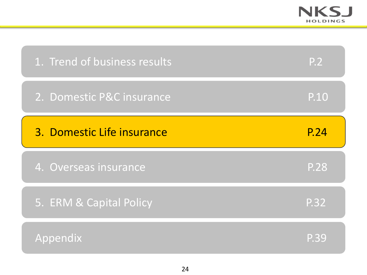

| 1. Trend of business results | <b>P.2</b>  |
|------------------------------|-------------|
| 2. Domestic P&C insurance    | P.10        |
| 3. Domestic Life insurance   | P.24        |
| 4. Overseas insurance        | <b>P.28</b> |
|                              |             |
| 5. ERM & Capital Policy      | P.32        |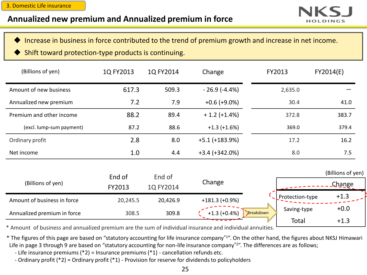## **Annualized new premium and Annualized premium in force**



- Increase in business in force contributed to the trend of premium growth and increase in net income.
- Shift toward protection-type products is continuing.

| (Billions of yen)           | 1Q FY2013        | 1Q FY2014           | Change           | FY2013    |                      | FY2014(E)                          |
|-----------------------------|------------------|---------------------|------------------|-----------|----------------------|------------------------------------|
| Amount of new business      | 617.3            | 509.3               | $-26.9(-4.4%)$   |           | 2,635.0              |                                    |
| Annualized new premium      | 7.2              | 7.9                 | $+0.6$ (+9.0%)   |           | 30.4                 | 41.0                               |
| Premium and other income    | 88.2             | 89.4                | $+ 1.2 (+1.4%)$  |           | 372.8                | 383.7                              |
| (excl. lump-sum payment)    | 87.2             | 88.6                | $+1.3 (+1.6%)$   |           | 369.0                | 379.4                              |
| Ordinary profit             | 2.8              | 8.0                 | $+5.1 (+183.9%)$ |           | 17.2                 | 16.2                               |
| Net income                  | 1.0              | 4.4                 | $+3.4 (+342.0%)$ |           | 8.0                  | 7.5                                |
| (Billions of yen)           | End of<br>FY2013 | End of<br>1Q FY2014 | Change           |           |                      | (Billions of yen)<br><b>Change</b> |
| Amount of business in force | 20,245.5         | 20,426.9            | $+181.3 (+0.9%)$ |           | Protection-type      | $+1.3$                             |
| Annualized premium in force | 308.5            | 309.8               | $+1.3(+0.4%)$    | Breakdown | Saving-type<br>Total | $+0.0$<br>$+1.3$                   |

\* Amount of business and annualized premium are the sum of individual insurance and individual annuities.

\* The figures of this page are based on "statutory accounting for life insurance company\*1". On the other hand, the figures about NKSJ Himawari Life in page 3 through 9 are based on "statutory accounting for non-life insurance company\*<sup>2</sup>". The differences are as follows;

- Life insurance premiums (\*2) = Insurance premiums (\*1) - cancellation refunds etc.

- Ordinary profit (\*2) = Ordinary profit (\*1) - Provision for reserve for dividends to policyholders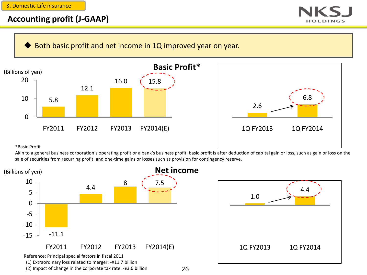#### 3. Domestic Life insurance

#### **Accounting profit (J-GAAP)**



Both basic profit and net income in 1Q improved year on year.





\*Basic Profit

Akin to a general business corporation's operating profit or a bank's business profit, basic profit is after deduction of capital gain or loss, such as gain or loss on the sale of securities from recurring profit, and one-time gains or losses such as provision for contingency reserve.



26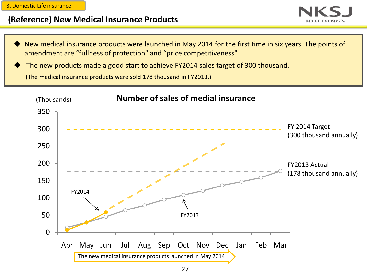3. Domestic Life insurance

## **(Reference) New Medical Insurance Products**



 New medical insurance products were launched in May 2014 for the first time in six years. The points of amendment are "fullness of protection" and "price competitiveness"

 The new products made a good start to achieve FY2014 sales target of 300 thousand. (The medical insurance products were sold 178 thousand in FY2013.)

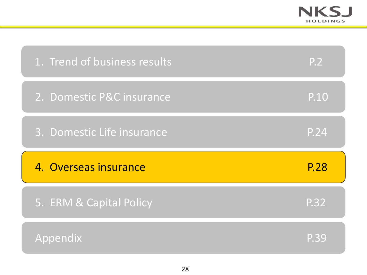

| 1. Trend of business results | P.2  |
|------------------------------|------|
| 2. Domestic P&C insurance    | P.10 |
| 3. Domestic Life insurance   | P.24 |
|                              |      |
| 4. Overseas insurance        | P.28 |
| 5. ERM & Capital Policy      | P.32 |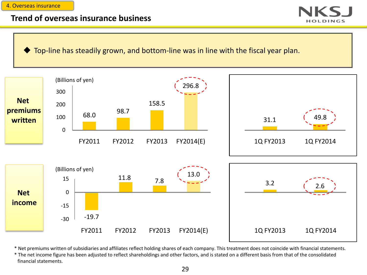#### 4. Overseas insurance

#### **Trend of overseas insurance business**

Top-line has steadily grown, and bottom-line was in line with the fiscal year plan.



\* Net premiums written of subsidiaries and affiliates reflect holding shares of each company. This treatment does not coincide with financial statements.

\* The net income figure has been adjusted to reflect shareholdings and other factors, and is stated on a different basis from that of the consolidated financial statements.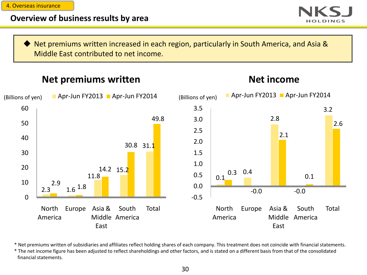4. Overseas insurance

## **Overview of business results by area**



▶ Net premiums written increased in each region, particularly in South America, and Asia & Middle East contributed to net income.

# **Net premiums written**

**Net income**



\* Net premiums written of subsidiaries and affiliates reflect holding shares of each company. This treatment does not coincide with financial statements.

\* The net income figure has been adjusted to reflect shareholdings and other factors, and is stated on a different basis from that of the consolidated financial statements.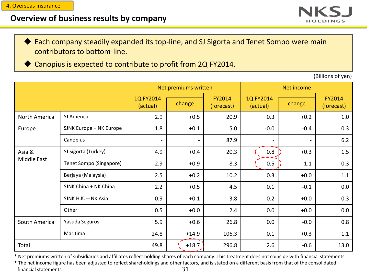#### **Overview of business results by company**



 Each company steadily expanded its top-line, and SJ Sigorta and Tenet Sompo were main contributors to bottom-line.

Canopius is expected to contribute to profit from 2Q FY2014.

(Billions of yen)

|                    |                         |                       | Net premiums written |                             | Net income            |        |                      |  |
|--------------------|-------------------------|-----------------------|----------------------|-----------------------------|-----------------------|--------|----------------------|--|
|                    |                         | 1Q FY2014<br>(actual) | change               | <b>FY2014</b><br>(forecast) | 1Q FY2014<br>(actual) | change | FY2014<br>(forecast) |  |
| North America      | SJ America              | 2.9                   | $+0.5$               | 20.9                        | 0.3                   | $+0.2$ | 1.0                  |  |
| Europe             | SJNK Europe + NK Europe | 1.8                   | $+0.1$               | 5.0                         | $-0.0$                | $-0.4$ | 0.3                  |  |
|                    | Canopius                | $\blacksquare$        |                      | 87.9                        |                       |        | 6.2                  |  |
| Asia &             | SJ Sigorta (Turkey)     | 4.9                   | $+0.4$               | 20.3                        | 0.8                   | $+0.3$ | 1.5                  |  |
| <b>Middle East</b> | Tenet Sompo (Singapore) | 2.9                   | $+0.9$               | 8.3                         | 0.5                   | $-1.1$ | 0.3                  |  |
|                    | Berjaya (Malaysia)      | 2.5                   | $+0.2$               | 10.2                        | 0.3                   | $+0.0$ | 1.1                  |  |
|                    | SJNK China + NK China   | 2.2                   | $+0.5$               | 4.5                         | 0.1                   | $-0.1$ | 0.0                  |  |
|                    | SJNK H.K. + NK Asia     | 0.9                   | $+0.1$               | 3.8                         | 0.2                   | $+0.0$ | 0.3                  |  |
|                    | Other                   | 0.5                   | $+0.0$               | 2.4                         | 0.0                   | $+0.0$ | 0.0                  |  |
| South America      | Yasuda Seguros          | 5.9                   | $+0.6$               | 26.8                        | 0.0                   | $-0.0$ | 0.8                  |  |
|                    | Maritima                | 24.8                  | $+14.9$              | 106.3                       | 0.1                   | $+0.3$ | 1.1                  |  |
| Total              |                         | 49.8                  | $+18.7$              | 296.8                       | 2.6                   | $-0.6$ | 13.0                 |  |

\* Net premiums written of subsidiaries and affiliates reflect holding shares of each company. This treatment does not coincide with financial statements.

31 \* The net income figure has been adjusted to reflect shareholdings and other factors, and is stated on a different basis from that of the consolidated financial statements.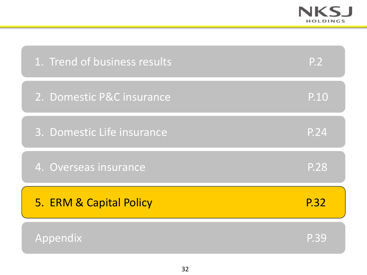

| 1. Trend of business results | <b>P.2</b>  |
|------------------------------|-------------|
| 2. Domestic P&C insurance    | P.10        |
| 3. Domestic Life insurance   | P.24        |
| 4. Overseas insurance        | <b>P.28</b> |
| 5. ERM & Capital Policy      | P.32        |
| Appendix                     | P.39        |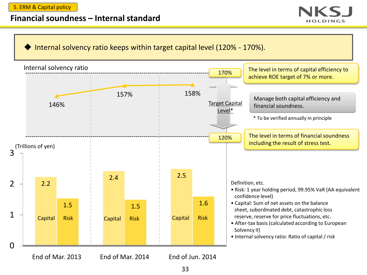5. ERM & Capital policy

#### **Financial soundness – Internal standard**



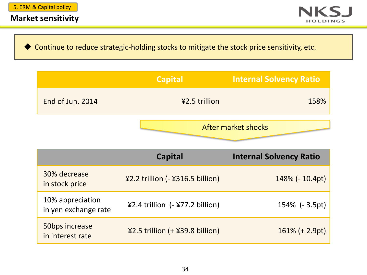

◆ Continue to reduce strategic-holding stocks to mitigate the stock price sensitivity, etc.

|                                          | <b>Capital</b>                   | <b>Internal Solvency Ratio</b> |  |
|------------------------------------------|----------------------------------|--------------------------------|--|
| End of Jun. 2014                         | ¥2.5 trillion                    | 158%                           |  |
|                                          |                                  | After market shocks            |  |
|                                          | <b>Capital</b>                   | <b>Internal Solvency Ratio</b> |  |
| 30% decrease<br>in stock price           | ¥2.2 trillion (- ¥316.5 billion) | 148% (- 10.4pt)                |  |
| 10% appreciation<br>in yen exchange rate | ¥2.4 trillion (- ¥77.2 billion)  | 154% (-3.5pt)                  |  |
| 50bps increase<br>in interest rate       | ¥2.5 trillion (+ ¥39.8 billion)  | $161\% (+ 2.9pt)$              |  |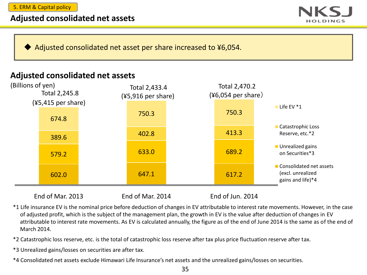#### **Adjusted consolidated net assets**



Adjusted consolidated net asset per share increased to ¥6,054.

## **Adjusted consolidated net assets**



End of Mar. 2013 End of Mar. 2014 End of Jun. 2014

\*1 Life insurance EV is the nominal price before deduction of changes in EV attributable to interest rate movements. However, in the case of adjusted profit, which is the subject of the management plan, the growth in EV is the value after deduction of changes in EV attributable to interest rate movements. As EV is calculated annually, the figure as of the end of June 2014 is the same as of the end of March 2014.

\*2 Catastrophic loss reserve, etc. is the total of catastrophic loss reserve after tax plus price fluctuation reserve after tax.

- \*3 Unrealized gains/losses on securities are after tax.
- \*4 Consolidated net assets exclude Himawari Life Insurance's net assets and the unrealized gains/losses on securities.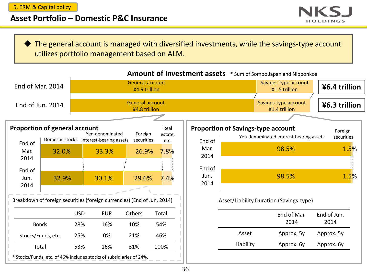## **Asset Portfolio – Domestic P&C Insurance**



 The general account is managed with diversified investments, while the savings-type account utilizes portfolio management based on ALM.



Amount of investment assets  $*$  Sum of Sompo Japan and Nipponkoa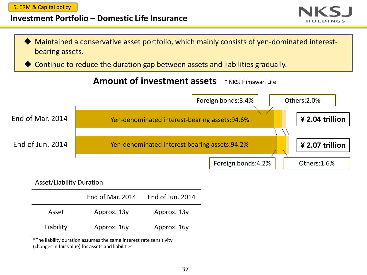5. ERM & Capital policy

#### **Investment Portfolio – Domestic Life Insurance**





Continue to reduce the duration gap between assets and liabilities gradually.



| <b>Asset/Liability Duration</b> |                  |                  |  |  |
|---------------------------------|------------------|------------------|--|--|
|                                 | End of Mar. 2014 | End of Jun. 2014 |  |  |
| Asset                           | Approx. 13y      | Approx. 13y      |  |  |
| Liability                       | Approx. 16y      | Approx. 16y      |  |  |

\*The liability duration assumes the same interest rate sensitivity (changes in fair value) for assets and liabilities.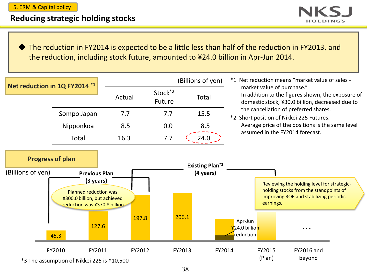#### 5. ERM & Capital policy

# **Reducing strategic holding stocks**

**HOLDINGS** 

◆ The reduction in FY2014 is expected to be a little less than half of the reduction in FY2013, and the reduction, including stock future, amounted to ¥24.0 billion in Apr-Jun 2014.

| Net reduction in 1Q FY2014 *1                |                                                                                                                            | (Billions of yen) |                               |        | *1 Net reduction means "market value of sales - |                                                                                                                                    |                  |                                                                                                                                |  |
|----------------------------------------------|----------------------------------------------------------------------------------------------------------------------------|-------------------|-------------------------------|--------|-------------------------------------------------|------------------------------------------------------------------------------------------------------------------------------------|------------------|--------------------------------------------------------------------------------------------------------------------------------|--|
|                                              |                                                                                                                            | Actual            | Stock <sup>*2</sup><br>Future |        | Total                                           | market value of purchase."<br>In addition to the figures shown, the exposure of<br>domestic stock, ¥30.0 billion, decreased due to |                  |                                                                                                                                |  |
|                                              | Sompo Japan                                                                                                                | 7.7               | 7.7                           |        | 15.5                                            |                                                                                                                                    |                  | the cancellation of preferred shares.<br>*2 Short position of Nikkei 225 Futures.                                              |  |
|                                              | Nipponkoa                                                                                                                  | 8.5               | 0.0                           |        | 8.5                                             |                                                                                                                                    |                  | Average price of the positions is the same level                                                                               |  |
|                                              | Total                                                                                                                      | 16.3              | 7.7                           |        | 24.0                                            |                                                                                                                                    |                  | assumed in the FY2014 forecast.                                                                                                |  |
| <b>Progress of plan</b><br>(Billions of yen) | <b>Previous Plan</b><br>(3 years)<br>Planned reduction was<br>¥300.0 billion, but achieved<br>reduction was ¥370.8 billion |                   |                               |        | <b>Existing Plan*3</b><br>(4 years)             |                                                                                                                                    | earnings.        | Reviewing the holding level for strategic-<br>holding stocks from the standpoints of<br>improving ROE and stabilizing periodic |  |
|                                              | 127.6<br>45.3                                                                                                              |                   | 197.8                         | 206.1  |                                                 | Apr-Jun<br>¥24.0 billion<br>reduction                                                                                              |                  |                                                                                                                                |  |
|                                              | FY2010<br>FY2011<br>*3 The assumption of Nikkei 225 is ¥10,500                                                             |                   | FY2012                        | FY2013 | FY2014                                          |                                                                                                                                    | FY2015<br>(Plan) | <b>FY2016 and</b><br>beyond                                                                                                    |  |

38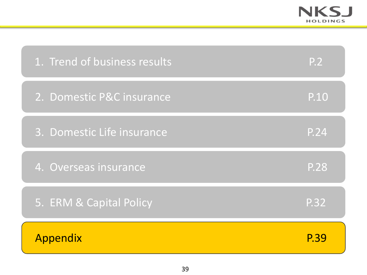

| 1. Trend of business results | <b>P.2</b> |
|------------------------------|------------|
| 2. Domestic P&C insurance    | P.10       |
| 3. Domestic Life insurance   | P.24       |
| 4. Overseas insurance        | P.28       |
| 5. ERM & Capital Policy      | P.32       |
| Appendix                     | P.39       |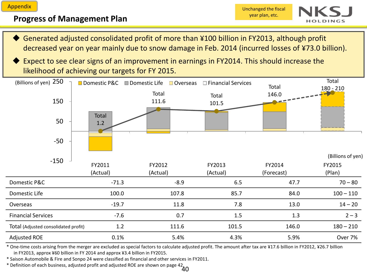#### **Progress of Management Plan**



- Generated adjusted consolidated profit of more than ¥100 billion in FY2013, although profit decreased year on year mainly due to snow damage in Feb. 2014 (incurred losses of ¥73.0 billion).
- Expect to see clear signs of an improvement in earnings in FY2014. This should increase the likelihood of achieving our targets for FY 2015.



\* One-time costs arising from the merger are excluded as special factors to calculate adjusted profit. The amount after tax are ¥17.6 billion in FY2012, ¥26.7 billion in FY2013, approx ¥60 billion in FY 2014 and approx ¥3.4 billion in FY2015.

\* Saison Automobile & Fire and Sonpo 24 were classified as financial and other services in FY2011.

 $*$  Definition of each business, adjusted profit and adjusted ROE are shown on page 42  $40$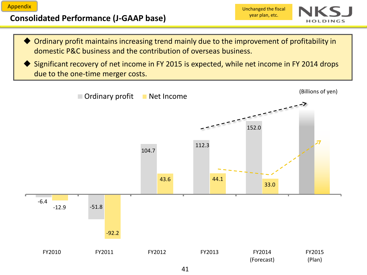# **Consolidated Performance (J-GAAP base)**

Unchanged the fiscal year plan, etc.



- Ordinary profit maintains increasing trend mainly due to the improvement of profitability in domestic P&C business and the contribution of overseas business.
- Significant recovery of net income in FY 2015 is expected, while net income in FY 2014 drops due to the one-time merger costs.

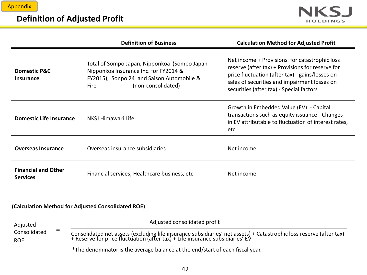## **Definition of Adjusted Profit**



|                                               | <b>Definition of Business</b>                                                                                                                                    | <b>Calculation Method for Adjusted Profit</b>                                                                                                                                                                                                    |
|-----------------------------------------------|------------------------------------------------------------------------------------------------------------------------------------------------------------------|--------------------------------------------------------------------------------------------------------------------------------------------------------------------------------------------------------------------------------------------------|
| <b>Domestic P&amp;C</b><br><b>Insurance</b>   | Total of Sompo Japan, Nipponkoa (Sompo Japan<br>Nipponkoa Insurance Inc. for FY2014 &<br>FY2015), Sonpo 24 and Saison Automobile &<br>(non-consolidated)<br>Fire | Net income + Provisions for catastrophic loss<br>reserve (after tax) + Provisions for reserve for<br>price fluctuation (after tax) - gains/losses on<br>sales of securities and impairment losses on<br>securities (after tax) - Special factors |
| <b>Domestic Life Insurance</b>                | NKSJ Himawari Life                                                                                                                                               | Growth in Embedded Value (EV) - Capital<br>transactions such as equity issuance - Changes<br>in EV attributable to fluctuation of interest rates,<br>etc.                                                                                        |
| <b>Overseas Insurance</b>                     | Overseas insurance subsidiaries                                                                                                                                  | Net income                                                                                                                                                                                                                                       |
| <b>Financial and Other</b><br><b>Services</b> | Financial services, Healthcare business, etc.                                                                                                                    | Net income                                                                                                                                                                                                                                       |

#### **(Calculation Method for Adjusted Consolidated ROE)**

| Adjusted<br>_<br>$\overline{\phantom{0}}$<br>Consolidated<br><b>ROE</b> | Adjusted consolidated profit                                                                                                                                                                         |  |  |
|-------------------------------------------------------------------------|------------------------------------------------------------------------------------------------------------------------------------------------------------------------------------------------------|--|--|
|                                                                         | Consolidated net assets (excluding life insurance subsidiaries' net assets) + Catastrophic loss reserve (after tax)<br>+ Reserve for price fluctuation (after tax) + Life insurance subsidiaries' EV |  |  |
|                                                                         | *The denominator is the average balance at the end/start of each fiscal year.                                                                                                                        |  |  |